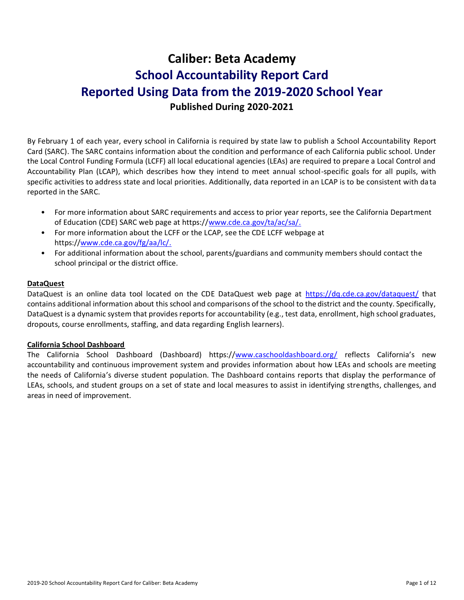# **Caliber: Beta Academy School Accountability Report Card Reported Using Data from the 2019-2020 School Year Published During 2020-2021**

By February 1 of each year, every school in California is required by state law to publish a School Accountability Report Card (SARC). The SARC contains information about the condition and performance of each California public school. Under the Local Control Funding Formula (LCFF) all local educational agencies (LEAs) are required to prepare a Local Control and Accountability Plan (LCAP), which describes how they intend to meet annual school-specific goals for all pupils, with specific activities to address state and local priorities. Additionally, data reported in an LCAP is to be consistent with da ta reported in the SARC.

- For more information about SARC requirements and access to prior year reports, see the California Department of Education (CDE) SARC web page at https:/[/www.cde.ca.gov/ta/ac/sa/.](https://www.cde.ca.gov/ta/ac/sa/)
- For more information about the LCFF or the LCAP, see the CDE LCFF webpage at https:/[/www.cde.ca.gov/fg/aa/lc/.](https://www.cde.ca.gov/fg/aa/lc/)
- For additional information about the school, parents/guardians and community members should contact the school principal or the district office.

### **DataQuest**

DataQuest is an online data tool located on the CDE DataQuest web page at <https://dq.cde.ca.gov/dataquest/> that contains additional information about this school and comparisons of the school to the district and the county. Specifically, DataQuest is a dynamic system that provides reports for accountability (e.g., test data, enrollment, high school graduates, dropouts, course enrollments, staffing, and data regarding English learners).

### **California School Dashboard**

The California School Dashboard (Dashboard) https:/[/www.caschooldashboard.org/](https://www.caschooldashboard.org/) reflects California's new accountability and continuous improvement system and provides information about how LEAs and schools are meeting the needs of California's diverse student population. The Dashboard contains reports that display the performance of LEAs, schools, and student groups on a set of state and local measures to assist in identifying strengths, challenges, and areas in need of improvement.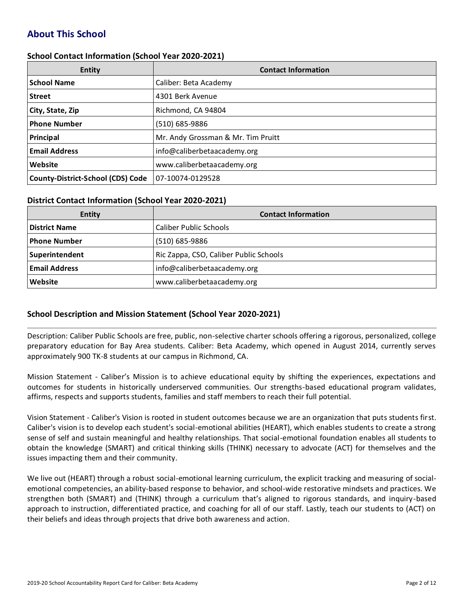# **About This School**

#### **School Contact Information (School Year 2020-2021)**

| <b>Entity</b>                            | <b>Contact Information</b>         |
|------------------------------------------|------------------------------------|
| <b>School Name</b>                       | Caliber: Beta Academy              |
| <b>Street</b>                            | 4301 Berk Avenue                   |
| City, State, Zip                         | Richmond, CA 94804                 |
| <b>Phone Number</b>                      | (510) 685-9886                     |
| Principal                                | Mr. Andy Grossman & Mr. Tim Pruitt |
| <b>Email Address</b>                     | info@caliberbetaacademy.org        |
| Website                                  | www.caliberbetaacademy.org         |
| <b>County-District-School (CDS) Code</b> | 07-10074-0129528                   |

#### **District Contact Information (School Year 2020-2021)**

| Entity               | <b>Contact Information</b>             |  |  |  |
|----------------------|----------------------------------------|--|--|--|
| <b>District Name</b> | <b>Caliber Public Schools</b>          |  |  |  |
| <b>Phone Number</b>  | (510) 685-9886                         |  |  |  |
| Superintendent       | Ric Zappa, CSO, Caliber Public Schools |  |  |  |
| <b>Email Address</b> | info@caliberbetaacademy.org            |  |  |  |
| Website              | www.caliberbetaacademy.org             |  |  |  |

### **School Description and Mission Statement (School Year 2020-2021)**

Description: Caliber Public Schools are free, public, non-selective charter schools offering a rigorous, personalized, college preparatory education for Bay Area students. Caliber: Beta Academy, which opened in August 2014, currently serves approximately 900 TK-8 students at our campus in Richmond, CA.

Mission Statement - Caliber's Mission is to achieve educational equity by shifting the experiences, expectations and outcomes for students in historically underserved communities. Our strengths-based educational program validates, affirms, respects and supports students, families and staff members to reach their full potential.

Vision Statement - Caliber's Vision is rooted in student outcomes because we are an organization that puts students first. Caliber's vision is to develop each student's social-emotional abilities (HEART), which enables students to create a strong sense of self and sustain meaningful and healthy relationships. That social-emotional foundation enables all students to obtain the knowledge (SMART) and critical thinking skills (THINK) necessary to advocate (ACT) for themselves and the issues impacting them and their community.

We live out (HEART) through a robust social-emotional learning curriculum, the explicit tracking and measuring of socialemotional competencies, an ability-based response to behavior, and school-wide restorative mindsets and practices. We strengthen both (SMART) and (THINK) through a curriculum that's aligned to rigorous standards, and inquiry-based approach to instruction, differentiated practice, and coaching for all of our staff. Lastly, teach our students to (ACT) on their beliefs and ideas through projects that drive both awareness and action.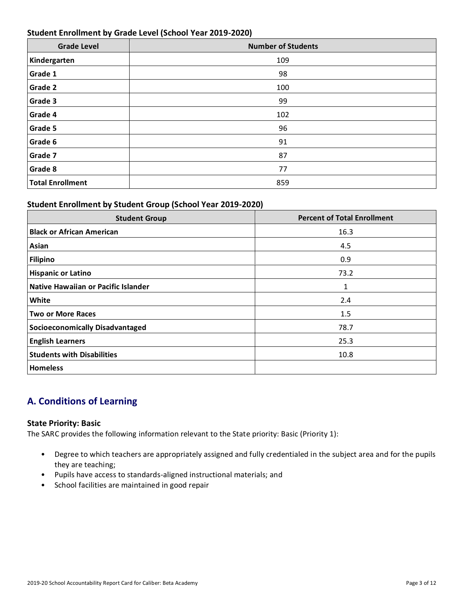### **Student Enrollment by Grade Level (School Year 2019-2020)**

| <b>Grade Level</b>      | <b>Number of Students</b> |
|-------------------------|---------------------------|
| Kindergarten            | 109                       |
| Grade 1                 | 98                        |
| Grade 2                 | 100                       |
| Grade 3                 | 99                        |
| Grade 4                 | 102                       |
| Grade 5                 | 96                        |
| Grade 6                 | 91                        |
| Grade 7                 | 87                        |
| Grade 8                 | 77                        |
| <b>Total Enrollment</b> | 859                       |

# **Student Enrollment by Student Group (School Year 2019-2020)**

| <b>Student Group</b>                   | <b>Percent of Total Enrollment</b> |
|----------------------------------------|------------------------------------|
| <b>Black or African American</b>       | 16.3                               |
| Asian                                  | 4.5                                |
| <b>Filipino</b>                        | 0.9                                |
| <b>Hispanic or Latino</b>              | 73.2                               |
| Native Hawaiian or Pacific Islander    | 1                                  |
| White                                  | 2.4                                |
| <b>Two or More Races</b>               | 1.5                                |
| <b>Socioeconomically Disadvantaged</b> | 78.7                               |
| <b>English Learners</b>                | 25.3                               |
| <b>Students with Disabilities</b>      | 10.8                               |
| <b>Homeless</b>                        |                                    |

# **A. Conditions of Learning**

### **State Priority: Basic**

The SARC provides the following information relevant to the State priority: Basic (Priority 1):

- Degree to which teachers are appropriately assigned and fully credentialed in the subject area and for the pupils they are teaching;
- Pupils have access to standards-aligned instructional materials; and
- School facilities are maintained in good repair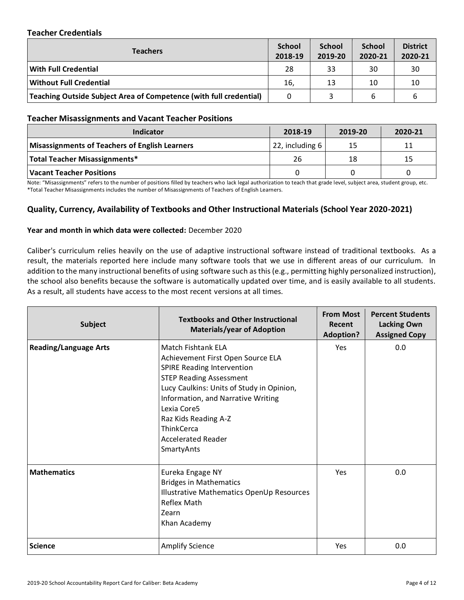### **Teacher Credentials**

| <b>School</b><br>2018-19 | <b>School</b><br>2019-20 | <b>School</b><br>2020-21 | <b>District</b><br>2020-21 |
|--------------------------|--------------------------|--------------------------|----------------------------|
| 28                       | 33                       | 30                       | 30                         |
| 16,                      | 13                       | 10                       | 10                         |
| 0                        |                          | 6                        |                            |
|                          |                          |                          |                            |

#### **Teacher Misassignments and Vacant Teacher Positions**

| TCQCIICI INIISQSINIIIIICHIS QHQ VQCQIII I CQCIICI I OSIIIOHS |                 |         |         |  |  |  |
|--------------------------------------------------------------|-----------------|---------|---------|--|--|--|
| Indicator                                                    | 2018-19         | 2019-20 | 2020-21 |  |  |  |
| <b>Misassignments of Teachers of English Learners</b>        | 22, including 6 | 15      | 11      |  |  |  |
| <b>Total Teacher Misassignments*</b>                         | 26              | 18      | 15      |  |  |  |
| Vacant Teacher Positions                                     |                 |         |         |  |  |  |

Note: "Misassignments" refers to the number of positions filled by teachers who lack legal authorization to teach that grade level, subject area, student group, etc.<br>\*Total Teacher Misassignments includes the number of Mis \*Total Teacher Misassignments includes the number of Misassignments of Teachers of English Learners.

# **Quality, Currency, Availability of Textbooks and Other Instructional Materials (School Year 2020-2021)**

#### **Year and month in which data were collected:** December 2020

Caliber's curriculum relies heavily on the use of adaptive instructional software instead of traditional textbooks. As a result, the materials reported here include many software tools that we use in different areas of our curriculum. In addition to the many instructional benefits of using software such as this (e.g., permitting highly personalized instruction), the school also benefits because the software is automatically updated over time, and is easily available to all students. As a result, all students have access to the most recent versions at all times.

| <b>Subject</b>               | <b>Textbooks and Other Instructional</b><br><b>Materials/year of Adoption</b>                                                                                                                                                                                                                                                   | <b>From Most</b><br>Recent<br><b>Adoption?</b> | <b>Percent Students</b><br><b>Lacking Own</b><br><b>Assigned Copy</b> |
|------------------------------|---------------------------------------------------------------------------------------------------------------------------------------------------------------------------------------------------------------------------------------------------------------------------------------------------------------------------------|------------------------------------------------|-----------------------------------------------------------------------|
| <b>Reading/Language Arts</b> | <b>Match Fishtank ELA</b><br>Achievement First Open Source ELA<br><b>SPIRE Reading Intervention</b><br><b>STEP Reading Assessment</b><br>Lucy Caulkins: Units of Study in Opinion,<br>Information, and Narrative Writing<br>Lexia Core5<br>Raz Kids Reading A-Z<br><b>ThinkCerca</b><br><b>Accelerated Reader</b><br>SmartyAnts | <b>Yes</b>                                     | 0.0                                                                   |
| <b>Mathematics</b>           | Eureka Engage NY<br><b>Bridges in Mathematics</b><br>Illustrative Mathematics OpenUp Resources<br>Reflex Math<br>Zearn<br>Khan Academy                                                                                                                                                                                          | <b>Yes</b>                                     | 0.0                                                                   |
| <b>Science</b>               | <b>Amplify Science</b>                                                                                                                                                                                                                                                                                                          | Yes                                            | 0.0                                                                   |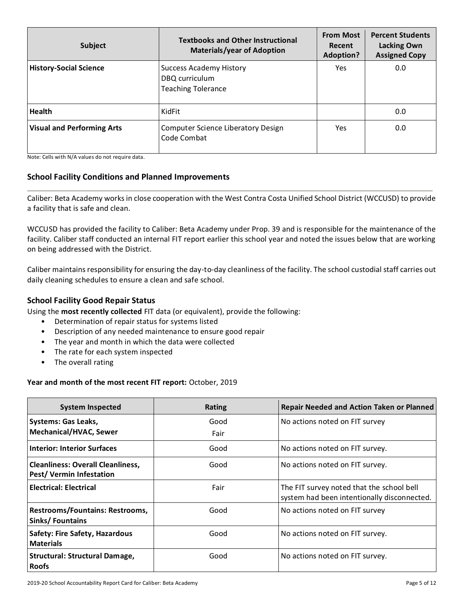| Subject                           | <b>Textbooks and Other Instructional</b><br><b>Materials/year of Adoption</b> | <b>From Most</b><br>Recent<br><b>Adoption?</b> | <b>Percent Students</b><br><b>Lacking Own</b><br><b>Assigned Copy</b> |  |
|-----------------------------------|-------------------------------------------------------------------------------|------------------------------------------------|-----------------------------------------------------------------------|--|
| <b>History-Social Science</b>     | <b>Success Academy History</b><br>DBQ curriculum<br><b>Teaching Tolerance</b> | Yes                                            | 0.0                                                                   |  |
| <b>Health</b>                     | KidFit                                                                        |                                                | 0.0                                                                   |  |
| <b>Visual and Performing Arts</b> | Computer Science Liberatory Design<br>Code Combat                             | Yes                                            | 0.0                                                                   |  |

Note: Cells with N/A values do not require data.

# **School Facility Conditions and Planned Improvements**

Caliber: Beta Academy works in close cooperation with the West Contra Costa Unified School District (WCCUSD) to provide a facility that is safe and clean.

WCCUSD has provided the facility to Caliber: Beta Academy under Prop. 39 and is responsible for the maintenance of the facility. Caliber staff conducted an internal FIT report earlier this school year and noted the issues below that are working on being addressed with the District.

Caliber maintains responsibility for ensuring the day-to-day cleanliness of the facility. The school custodial staff carries out daily cleaning schedules to ensure a clean and safe school.

# **School Facility Good Repair Status**

Using the **most recently collected** FIT data (or equivalent), provide the following:

- Determination of repair status for systems listed
- Description of any needed maintenance to ensure good repair
- The year and month in which the data were collected
- The rate for each system inspected
- The overall rating

### **Year and month of the most recent FIT report:** October, 2019

| <b>System Inspected</b>                                                     | <b>Rating</b> | <b>Repair Needed and Action Taken or Planned</b>                                         |
|-----------------------------------------------------------------------------|---------------|------------------------------------------------------------------------------------------|
| <b>Systems: Gas Leaks,</b><br><b>Mechanical/HVAC, Sewer</b>                 | Good<br>Fair  | No actions noted on FIT survey                                                           |
| <b>Interior: Interior Surfaces</b>                                          | Good          | No actions noted on FIT survey.                                                          |
| <b>Cleanliness: Overall Cleanliness,</b><br><b>Pest/ Vermin Infestation</b> | Good          | No actions noted on FIT survey.                                                          |
| <b>Electrical: Electrical</b>                                               | Fair          | The FIT survey noted that the school bell<br>system had been intentionally disconnected. |
| Restrooms/Fountains: Restrooms,<br>Sinks/Fountains                          | Good          | No actions noted on FIT survey                                                           |
| Safety: Fire Safety, Hazardous<br><b>Materials</b>                          | Good          | No actions noted on FIT survey.                                                          |
| <b>Structural: Structural Damage,</b><br><b>Roofs</b>                       | Good          | No actions noted on FIT survey.                                                          |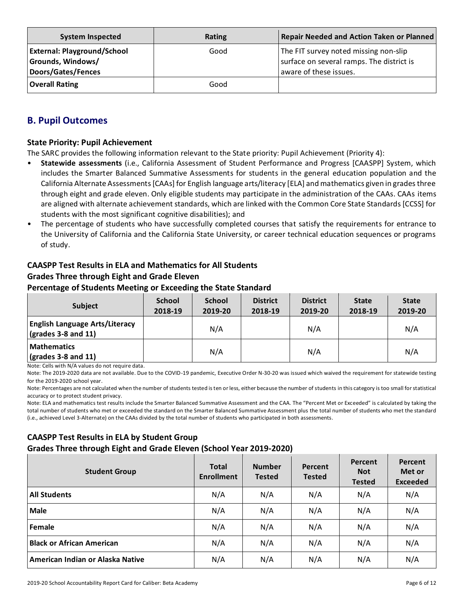| <b>System Inspected</b>            | <b>Rating</b> | <b>Repair Needed and Action Taken or Planned</b> |
|------------------------------------|---------------|--------------------------------------------------|
| <b>External: Playground/School</b> | Good          | The FIT survey noted missing non-slip            |
| Grounds, Windows/                  |               | surface on several ramps. The district is        |
| <b>Doors/Gates/Fences</b>          |               | aware of these issues.                           |
| <b>Overall Rating</b>              | Good          |                                                  |

# **B. Pupil Outcomes**

### **State Priority: Pupil Achievement**

The SARC provides the following information relevant to the State priority: Pupil Achievement (Priority 4):

- **Statewide assessments** (i.e., California Assessment of Student Performance and Progress [CAASPP] System, which includes the Smarter Balanced Summative Assessments for students in the general education population and the California Alternate Assessments [CAAs] for English language arts/literacy [ELA] and mathematics given in grades three through eight and grade eleven. Only eligible students may participate in the administration of the CAAs. CAAs items are aligned with alternate achievement standards, which are linked with the Common Core State Standards [CCSS] for students with the most significant cognitive disabilities); and
- The percentage of students who have successfully completed courses that satisfy the requirements for entrance to the University of California and the California State University, or career technical education sequences or programs of study.

# **CAASPP Test Results in ELA and Mathematics for All Students Grades Three through Eight and Grade Eleven**

### **Percentage of Students Meeting or Exceeding the State Standard**

| <b>Subject</b>                                                                              | <b>School</b><br>2018-19 | <b>School</b><br>2019-20 | <b>District</b><br>2018-19 | <b>District</b><br>2019-20 | <b>State</b><br>2018-19 | <b>State</b><br>2019-20 |
|---------------------------------------------------------------------------------------------|--------------------------|--------------------------|----------------------------|----------------------------|-------------------------|-------------------------|
| <b>English Language Arts/Literacy</b><br>$\left(\text{grades }3 - 8 \text{ and } 11\right)$ |                          | N/A                      |                            | N/A                        |                         | N/A                     |
| <b>Mathematics</b><br>$\sqrt{(grades 3-8 and 11)}$                                          |                          | N/A                      |                            | N/A                        |                         | N/A                     |

Note: Cells with N/A values do not require data.

Note: The 2019-2020 data are not available. Due to the COVID-19 pandemic, Executive Order N-30-20 was issued which waived the requirement for statewide testing for the 2019-2020 school year.

Note: Percentages are not calculated when the number of students tested is ten or less, either because the number of students in this category is too small for statistical accuracy or to protect student privacy.

Note: ELA and mathematics test results include the Smarter Balanced Summative Assessment and the CAA. The "Percent Met or Exceeded" is calculated by taking the total number of students who met or exceeded the standard on the Smarter Balanced Summative Assessment plus the total number of students who met the standard (i.e., achieved Level 3-Alternate) on the CAAs divided by the total number of students who participated in both assessments.

# **CAASPP Test Results in ELA by Student Group Grades Three through Eight and Grade Eleven (School Year 2019-2020)**

| <b>Student Group</b>             | <b>Total</b><br><b>Enrollment</b> | <b>Number</b><br><b>Tested</b> | <b>Percent</b><br><b>Tested</b> | <b>Percent</b><br><b>Not</b><br><b>Tested</b> | Percent<br>Met or<br><b>Exceeded</b> |
|----------------------------------|-----------------------------------|--------------------------------|---------------------------------|-----------------------------------------------|--------------------------------------|
| <b>All Students</b>              | N/A                               | N/A                            | N/A                             | N/A                                           | N/A                                  |
| <b>Male</b>                      | N/A                               | N/A                            | N/A                             | N/A                                           | N/A                                  |
| <b>Female</b>                    | N/A                               | N/A                            | N/A                             | N/A                                           | N/A                                  |
| <b>Black or African American</b> | N/A                               | N/A                            | N/A                             | N/A                                           | N/A                                  |
| American Indian or Alaska Native | N/A                               | N/A                            | N/A                             | N/A                                           | N/A                                  |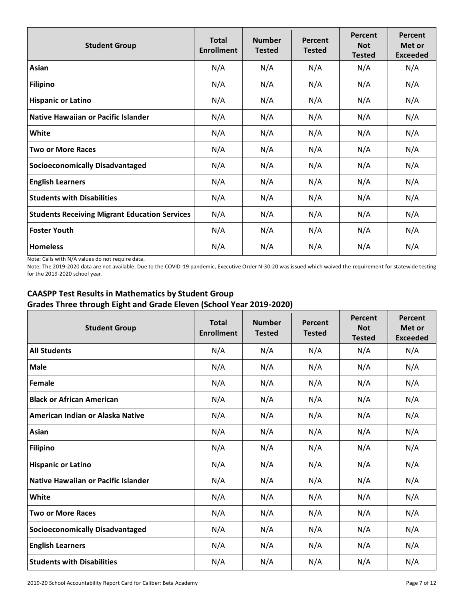| <b>Student Group</b>                                 | <b>Total</b><br><b>Enrollment</b> | <b>Number</b><br><b>Tested</b> | Percent<br><b>Tested</b> | Percent<br><b>Not</b><br><b>Tested</b> | Percent<br>Met or<br><b>Exceeded</b> |
|------------------------------------------------------|-----------------------------------|--------------------------------|--------------------------|----------------------------------------|--------------------------------------|
| Asian                                                | N/A                               | N/A                            | N/A                      | N/A                                    | N/A                                  |
| <b>Filipino</b>                                      | N/A                               | N/A                            | N/A                      | N/A                                    | N/A                                  |
| <b>Hispanic or Latino</b>                            | N/A                               | N/A                            | N/A                      | N/A                                    | N/A                                  |
| Native Hawaiian or Pacific Islander                  | N/A                               | N/A                            | N/A                      | N/A                                    | N/A                                  |
| White                                                | N/A                               | N/A                            | N/A                      | N/A                                    | N/A                                  |
| <b>Two or More Races</b>                             | N/A                               | N/A                            | N/A                      | N/A                                    | N/A                                  |
| <b>Socioeconomically Disadvantaged</b>               | N/A                               | N/A                            | N/A                      | N/A                                    | N/A                                  |
| <b>English Learners</b>                              | N/A                               | N/A                            | N/A                      | N/A                                    | N/A                                  |
| <b>Students with Disabilities</b>                    | N/A                               | N/A                            | N/A                      | N/A                                    | N/A                                  |
| <b>Students Receiving Migrant Education Services</b> | N/A                               | N/A                            | N/A                      | N/A                                    | N/A                                  |
| <b>Foster Youth</b>                                  | N/A                               | N/A                            | N/A                      | N/A                                    | N/A                                  |
| <b>Homeless</b>                                      | N/A                               | N/A                            | N/A                      | N/A                                    | N/A                                  |

Note: Cells with N/A values do not require data.

Note: The 2019-2020 data are not available. Due to the COVID-19 pandemic, Executive Order N-30-20 was issued which waived the requirement for statewide testing for the 2019-2020 school year.

# **CAASPP Test Results in Mathematics by Student Group Grades Three through Eight and Grade Eleven (School Year 2019-2020)**

| <b>Student Group</b>                       | <b>Total</b><br><b>Enrollment</b> | <b>Number</b><br><b>Tested</b> | Percent<br><b>Tested</b> | Percent<br><b>Not</b><br><b>Tested</b> | Percent<br>Met or<br><b>Exceeded</b> |
|--------------------------------------------|-----------------------------------|--------------------------------|--------------------------|----------------------------------------|--------------------------------------|
| <b>All Students</b>                        | N/A                               | N/A                            | N/A                      | N/A                                    | N/A                                  |
| <b>Male</b>                                | N/A                               | N/A                            | N/A                      | N/A                                    | N/A                                  |
| Female                                     | N/A                               | N/A                            | N/A                      | N/A                                    | N/A                                  |
| <b>Black or African American</b>           | N/A                               | N/A                            | N/A                      | N/A                                    | N/A                                  |
| American Indian or Alaska Native           | N/A                               | N/A                            | N/A                      | N/A                                    | N/A                                  |
| Asian                                      | N/A                               | N/A                            | N/A                      | N/A                                    | N/A                                  |
| <b>Filipino</b>                            | N/A                               | N/A                            | N/A                      | N/A                                    | N/A                                  |
| <b>Hispanic or Latino</b>                  | N/A                               | N/A                            | N/A                      | N/A                                    | N/A                                  |
| <b>Native Hawaiian or Pacific Islander</b> | N/A                               | N/A                            | N/A                      | N/A                                    | N/A                                  |
| White                                      | N/A                               | N/A                            | N/A                      | N/A                                    | N/A                                  |
| <b>Two or More Races</b>                   | N/A                               | N/A                            | N/A                      | N/A                                    | N/A                                  |
| <b>Socioeconomically Disadvantaged</b>     | N/A                               | N/A                            | N/A                      | N/A                                    | N/A                                  |
| <b>English Learners</b>                    | N/A                               | N/A                            | N/A                      | N/A                                    | N/A                                  |
| <b>Students with Disabilities</b>          | N/A                               | N/A                            | N/A                      | N/A                                    | N/A                                  |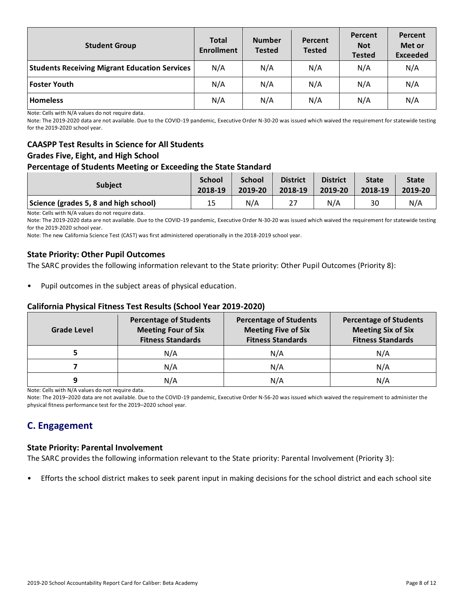| <b>Student Group</b>                                 | <b>Total</b><br><b>Number</b><br><b>Enrollment</b><br><b>Tested</b> |     | Percent<br><b>Tested</b> | Percent<br><b>Not</b><br><b>Tested</b> | Percent<br>Met or<br><b>Exceeded</b> |
|------------------------------------------------------|---------------------------------------------------------------------|-----|--------------------------|----------------------------------------|--------------------------------------|
| <b>Students Receiving Migrant Education Services</b> | N/A                                                                 | N/A | N/A                      | N/A                                    | N/A                                  |
| <b>Foster Youth</b>                                  | N/A                                                                 | N/A | N/A                      | N/A                                    | N/A                                  |
| <b>Homeless</b>                                      | N/A                                                                 | N/A | N/A                      | N/A                                    | N/A                                  |

Note: Cells with N/A values do not require data.

Note: The 2019-2020 data are not available. Due to the COVID-19 pandemic, Executive Order N-30-20 was issued which waived the requirement for statewide testing for the 2019-2020 school year.

# **CAASPP Test Results in Science for All Students Grades Five, Eight, and High School**

### **Percentage of Students Meeting or Exceeding the State Standard**

| <b>Subject</b>                        | <b>School</b> | <b>School</b> | <b>District</b> | <b>District</b> | <b>State</b> | <b>State</b> |
|---------------------------------------|---------------|---------------|-----------------|-----------------|--------------|--------------|
|                                       | 2018-19       | 2019-20       | 2018-19         | 2019-20         | 2018-19      | 2019-20      |
| Science (grades 5, 8 and high school) | 15            | N/A           | 27              | N/A             | 30           | N/A          |

Note: Cells with N/A values do not require data.

Note: The 2019-2020 data are not available. Due to the COVID-19 pandemic, Executive Order N-30-20 was issued which waived the requirement for statewide testing for the 2019-2020 school year.

Note: The new California Science Test (CAST) was first administered operationally in the 2018-2019 school year.

### **State Priority: Other Pupil Outcomes**

The SARC provides the following information relevant to the State priority: Other Pupil Outcomes (Priority 8):

Pupil outcomes in the subject areas of physical education.

### **California Physical Fitness Test Results (School Year 2019-2020)**

| Grade Level | <b>Percentage of Students</b><br><b>Meeting Four of Six</b><br><b>Fitness Standards</b> | <b>Percentage of Students</b><br><b>Meeting Five of Six</b><br><b>Fitness Standards</b> | <b>Percentage of Students</b><br><b>Meeting Six of Six</b><br><b>Fitness Standards</b> |  |
|-------------|-----------------------------------------------------------------------------------------|-----------------------------------------------------------------------------------------|----------------------------------------------------------------------------------------|--|
|             | N/A                                                                                     | N/A                                                                                     | N/A                                                                                    |  |
|             | N/A                                                                                     | N/A                                                                                     | N/A                                                                                    |  |
| q           | N/A                                                                                     | N/A                                                                                     | N/A                                                                                    |  |

Note: Cells with N/A values do not require data.

Note: The 2019–2020 data are not available. Due to the COVID-19 pandemic, Executive Order N-56-20 was issued which waived the requirement to administer the physical fitness performance test for the 2019–2020 school year.

# **C. Engagement**

#### **State Priority: Parental Involvement**

The SARC provides the following information relevant to the State priority: Parental Involvement (Priority 3):

• Efforts the school district makes to seek parent input in making decisions for the school district and each school site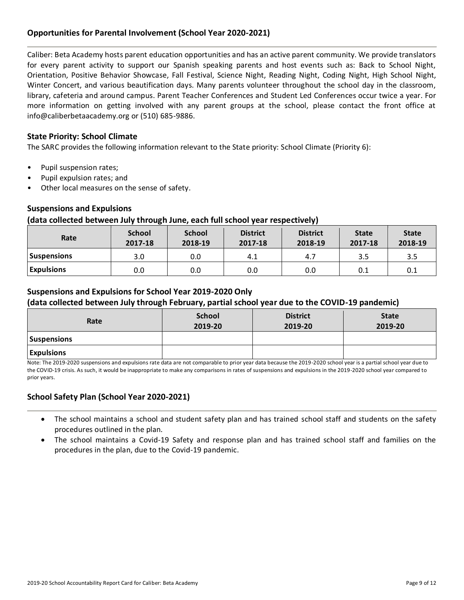# **Opportunities for Parental Involvement (School Year 2020-2021)**

Caliber: Beta Academy hosts parent education opportunities and has an active parent community. We provide translators for every parent activity to support our Spanish speaking parents and host events such as: Back to School Night, Orientation, Positive Behavior Showcase, Fall Festival, Science Night, Reading Night, Coding Night, High School Night, Winter Concert, and various beautification days. Many parents volunteer throughout the school day in the classroom, library, cafeteria and around campus. Parent Teacher Conferences and Student Led Conferences occur twice a year. For more information on getting involved with any parent groups at the school, please contact the front office at info@caliberbetaacademy.org or (510) 685-9886.

### **State Priority: School Climate**

The SARC provides the following information relevant to the State priority: School Climate (Priority 6):

- Pupil suspension rates;
- Pupil expulsion rates; and
- Other local measures on the sense of safety.

### **Suspensions and Expulsions**

#### **(data collected between July through June, each full school year respectively)**

| Rate               | <b>School</b><br>2017-18 | <b>School</b><br>2018-19 | <b>District</b><br>2017-18 | <b>District</b><br>2018-19 | <b>State</b><br>2017-18 | <b>State</b><br>2018-19 |
|--------------------|--------------------------|--------------------------|----------------------------|----------------------------|-------------------------|-------------------------|
| <b>Suspensions</b> | 3.0                      | 0.0                      | 4.1                        | 4.7                        | 3.5                     | 3.5                     |
| <b>Expulsions</b>  | 0.0                      | 0.0                      | 0.0                        | 0.0                        | 0.1                     | 0.1                     |

### **Suspensions and Expulsions for School Year 2019-2020 Only**

### **(data collected between July through February, partial school year due to the COVID-19 pandemic)**

| Rate               | <b>School</b><br>2019-20 | <b>District</b><br>2019-20 | <b>State</b><br>2019-20 |
|--------------------|--------------------------|----------------------------|-------------------------|
| <b>Suspensions</b> |                          |                            |                         |
| <b>Expulsions</b>  |                          |                            |                         |

Note: The 2019-2020 suspensions and expulsions rate data are not comparable to prior year data because the 2019-2020 school year is a partial school year due to the COVID-19 crisis. As such, it would be inappropriate to make any comparisons in rates of suspensions and expulsions in the 2019-2020 school year compared to prior years.

### **School Safety Plan (School Year 2020-2021)**

- The school maintains a school and student safety plan and has trained school staff and students on the safety procedures outlined in the plan.
- The school maintains a Covid-19 Safety and response plan and has trained school staff and families on the procedures in the plan, due to the Covid-19 pandemic.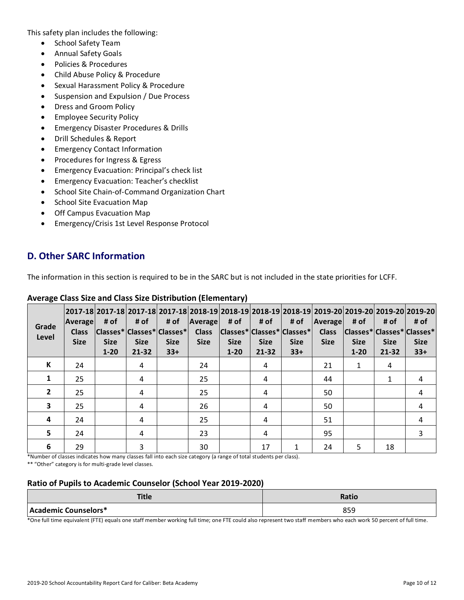This safety plan includes the following:

- School Safety Team
- Annual Safety Goals
- Policies & Procedures
- Child Abuse Policy & Procedure
- Sexual Harassment Policy & Procedure
- Suspension and Expulsion / Due Process
- Dress and Groom Policy
- Employee Security Policy
- Emergency Disaster Procedures & Drills
- Drill Schedules & Report
- Emergency Contact Information
- Procedures for Ingress & Egress
- Emergency Evacuation: Principal's check list
- Emergency Evacuation: Teacher's checklist
- School Site Chain-of-Command Organization Chart
- School Site Evacuation Map
- Off Campus Evacuation Map
- Emergency/Crisis 1st Level Response Protocol

# **D. Other SARC Information**

The information in this section is required to be in the SARC but is not included in the state priorities for LCFF.

| Grade<br>Level          | <b>Average</b><br><b>Class</b><br><b>Size</b> | # of<br><b>Size</b><br>$1 - 20$ | # of<br>Classes* Classes* Classes*<br><b>Size</b><br>$21 - 32$ | # of<br><b>Size</b><br>$33+$ | Average<br><b>Class</b><br><b>Size</b> | 2017-18 2017-18 2017-18 2017-18 2018-19 2018-19 2018-19 2018-19 2019-20 2019-20 2019-20 2019-20 2019-20<br># of<br> Classes* Classes* Classes* <br><b>Size</b><br>$1 - 20$ | # of<br><b>Size</b><br>$21 - 32$ | # of<br><b>Size</b><br>$33+$ | Average<br><b>Class</b><br><b>Size</b> | # of<br><b>Size</b><br>$1 - 20$ | # of<br> Classes* Classes* Classes*<br><b>Size</b><br>21-32 | # of<br><b>Size</b><br>$33+$ |
|-------------------------|-----------------------------------------------|---------------------------------|----------------------------------------------------------------|------------------------------|----------------------------------------|----------------------------------------------------------------------------------------------------------------------------------------------------------------------------|----------------------------------|------------------------------|----------------------------------------|---------------------------------|-------------------------------------------------------------|------------------------------|
| К                       | 24                                            |                                 | 4                                                              |                              | 24                                     |                                                                                                                                                                            | 4                                |                              | 21                                     | 1                               | 4                                                           |                              |
| 1                       | 25                                            |                                 | 4                                                              |                              | 25                                     |                                                                                                                                                                            | 4                                |                              | 44                                     |                                 | 1                                                           | 4                            |
| $\overline{2}$          | 25                                            |                                 | 4                                                              |                              | 25                                     |                                                                                                                                                                            | 4                                |                              | 50                                     |                                 |                                                             | 4                            |
| $\overline{\mathbf{3}}$ | 25                                            |                                 | 4                                                              |                              | 26                                     |                                                                                                                                                                            | 4                                |                              | 50                                     |                                 |                                                             | 4                            |
| 4                       | 24                                            |                                 | 4                                                              |                              | 25                                     |                                                                                                                                                                            | 4                                |                              | 51                                     |                                 |                                                             | 4                            |
| 5                       | 24                                            |                                 | 4                                                              |                              | 23                                     |                                                                                                                                                                            | 4                                |                              | 95                                     |                                 |                                                             | 3                            |
| 6                       | 29                                            |                                 | 3                                                              |                              | 30                                     |                                                                                                                                                                            | 17                               | 1                            | 24                                     | 5                               | 18                                                          |                              |

# **Average Class Size and Class Size Distribution (Elementary)**

\*Number of classes indicates how many classes fall into each size category (a range of total students per class). \*\* "Other" category is for multi-grade level classes.

# **Ratio of Pupils to Academic Counselor (School Year 2019-2020)**

| <b>Title</b>         | <b>Ratio</b> |
|----------------------|--------------|
| Academic Counselors* | oro<br>ວວວ   |

\*One full time equivalent (FTE) equals one staff member working full time; one FTE could also represent two staff members who each work 50 percent of full time.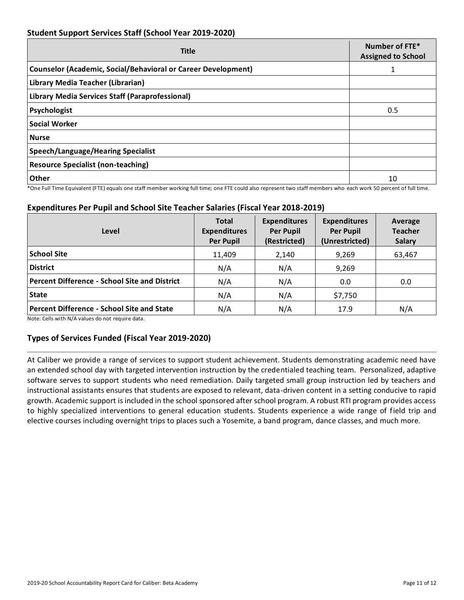# **Student Support Services Staff (School Year 2019-2020)**

| <b>Title</b>                                                         | Number of FTE*<br><b>Assigned to School</b> |
|----------------------------------------------------------------------|---------------------------------------------|
| <b>Counselor (Academic, Social/Behavioral or Career Development)</b> |                                             |
| Library Media Teacher (Librarian)                                    |                                             |
| Library Media Services Staff (Paraprofessional)                      |                                             |
| Psychologist                                                         | 0.5                                         |
| <b>Social Worker</b>                                                 |                                             |
| <b>Nurse</b>                                                         |                                             |
| Speech/Language/Hearing Specialist                                   |                                             |
| <b>Resource Specialist (non-teaching)</b>                            |                                             |
| Other                                                                | 10                                          |

\*One Full Time Equivalent (FTE) equals one staff member working full time; one FTE could also represent two staff members who each work 50 percent of full time.

# **Expenditures Per Pupil and School Site Teacher Salaries (Fiscal Year 2018-2019)**

| Level                                                | <b>Total</b><br><b>Expenditures</b><br><b>Per Pupil</b> | <b>Expenditures</b><br><b>Per Pupil</b><br>(Restricted) | <b>Expenditures</b><br><b>Per Pupil</b><br>(Unrestricted) | Average<br><b>Teacher</b><br><b>Salary</b> |
|------------------------------------------------------|---------------------------------------------------------|---------------------------------------------------------|-----------------------------------------------------------|--------------------------------------------|
| <b>School Site</b>                                   | 11,409                                                  | 2,140                                                   | 9,269                                                     | 63,467                                     |
| <b>District</b>                                      | N/A                                                     | N/A                                                     | 9,269                                                     |                                            |
| <b>Percent Difference - School Site and District</b> | N/A                                                     | N/A                                                     | 0.0                                                       | 0.0                                        |
| <b>State</b>                                         | N/A                                                     | N/A                                                     | \$7,750                                                   |                                            |
| <b>Percent Difference - School Site and State</b>    | N/A                                                     | N/A                                                     | 17.9                                                      | N/A                                        |

Note: Cells with N/A values do not require data.

# **Types of Services Funded (Fiscal Year 2019-2020)**

At Caliber we provide a range of services to support student achievement. Students demonstrating academic need have an extended school day with targeted intervention instruction by the credentialed teaching team. Personalized, adaptive software serves to support students who need remediation. Daily targeted small group instruction led by teachers and instructional assistants ensures that students are exposed to relevant, data-driven content in a setting conducive to rapid growth. Academic support is included in the school sponsored after school program. A robust RTI program provides access to highly specialized interventions to general education students. Students experience a wide range of field trip and elective courses including overnight trips to places such a Yosemite, a band program, dance classes, and much more.